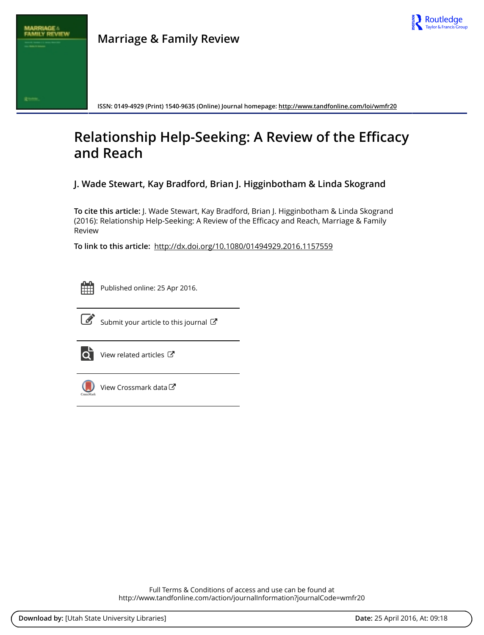

**ISSN: 0149-4929 (Print) 1540-9635 (Online) Journal homepage:<http://www.tandfonline.com/loi/wmfr20>**

# **Relationship Help-Seeking: A Review of the Efficacy and Reach**

**J. Wade Stewart, Kay Bradford, Brian J. Higginbotham & Linda Skogrand**

**To cite this article:** J. Wade Stewart, Kay Bradford, Brian J. Higginbotham & Linda Skogrand (2016): Relationship Help-Seeking: A Review of the Efficacy and Reach, Marriage & Family Review

**To link to this article:** <http://dx.doi.org/10.1080/01494929.2016.1157559>



Published online: 25 Apr 2016.



 $\overrightarrow{S}$  [Submit your article to this journal](http://www.tandfonline.com/action/authorSubmission?journalCode=wmfr20&page=instructions)  $\overrightarrow{S}$ 



 $\overrightarrow{Q}$  [View related articles](http://www.tandfonline.com/doi/mlt/10.1080/01494929.2016.1157559)  $\overrightarrow{C}$ 



[View Crossmark data](http://crossmark.crossref.org/dialog/?doi=10.1080/01494929.2016.1157559&domain=pdf&date_stamp=2016-04-25)

Full Terms & Conditions of access and use can be found at <http://www.tandfonline.com/action/journalInformation?journalCode=wmfr20>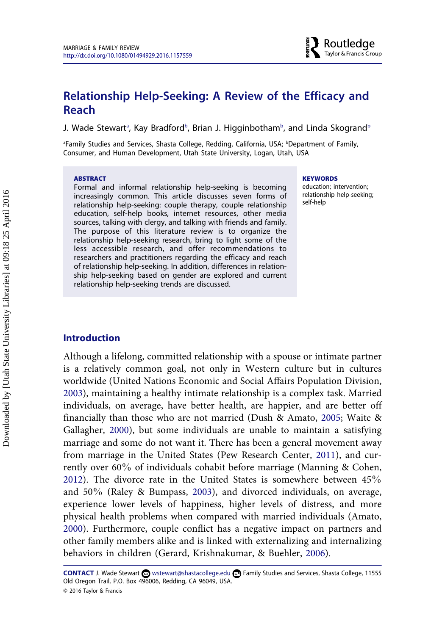# **Relationship Help-Seeking: A Review of the Efficacy and Reach**

J. Wade Stewart $^{\text{\tiny \textsf{a}}}$ , Kay Bradford $^{\text{\tiny \textsf{b}}}$ , Brian J. Higginbotham $^{\text{\tiny \textsf{b}}}$ , and Linda Skogrand $^{\text{\tiny \textsf{b}}}$ 

<sup>a</sup>Family Studies and Services, Shasta College, Redding, California, USA; <sup>b</sup>Department of Family, Consumer, and Human Development, Utah State University, Logan, Utah, USA

#### **ABSTRACT**

Formal and informal relationship help-seeking is becoming increasingly common. This article discusses seven forms of relationship help-seeking: couple therapy, couple relationship education, self-help books, internet resources, other media sources, talking with clergy, and talking with friends and family. The purpose of this literature review is to organize the relationship help-seeking research, bring to light some of the less accessible research, and offer recommendations to researchers and practitioners regarding the efficacy and reach of relationship help-seeking. In addition, differences in relationship help-seeking based on gender are explored and current relationship help-seeking trends are discussed.

#### **KEYWORDS**

education; intervention; relationship help-seeking; self-help

#### **Introduction**

Although a lifelong, committed relationship with a spouse or intimate partner is a relatively common goal, not only in Western culture but in cultures worldwide (United Nations Economic and Social Affairs Population Division, [2003\)](#page-22-0), maintaining a healthy intimate relationship is a complex task. Married individuals, on average, have better health, are happier, and are better off financially than those who are not married (Dush & Amato, [2005;](#page-18-0) Waite & Gallagher, [2000\)](#page-22-0), but some individuals are unable to maintain a satisfying marriage and some do not want it. There has been a general movement away from marriage in the United States (Pew Research Center, [2011\)](#page-21-0), and currently over 60% of individuals cohabit before marriage (Manning & Cohen, [2012\)](#page-20-0). The divorce rate in the United States is somewhere between 45% and 50% (Raley & Bumpass, [2003\)](#page-22-0), and divorced individuals, on average, experience lower levels of happiness, higher levels of distress, and more physical health problems when compared with married individuals (Amato, [2000\)](#page-16-0). Furthermore, couple conflict has a negative impact on partners and other family members alike and is linked with externalizing and internalizing behaviors in children (Gerard, Krishnakumar, & Buehler, [2006](#page-19-0)).

CONTACT J. Wade Stewart **x** [wstewart@shastacollege.edu](mailto:wstewart@shastacollege.edu) ■ Family Studies and Services, Shasta College, 11555 Old Oregon Trail, P.O. Box 496006, Redding, CA 96049, USA. © 2016 Taylor & Francis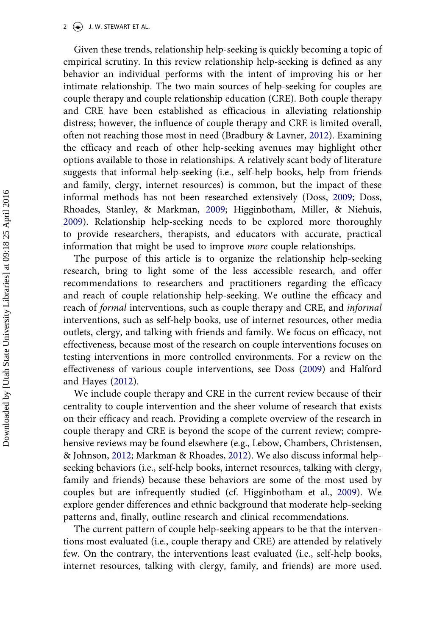$2 \left( \frac{1}{2} \right)$  J. W. STEWART ET AL.

Given these trends, relationship help-seeking is quickly becoming a topic of empirical scrutiny. In this review relationship help-seeking is defined as any behavior an individual performs with the intent of improving his or her intimate relationship. The two main sources of help-seeking for couples are couple therapy and couple relationship education (CRE). Both couple therapy and CRE have been established as efficacious in alleviating relationship distress; however, the influence of couple therapy and CRE is limited overall, often not reaching those most in need (Bradbury & Lavner, [2012](#page-17-0)). Examining the efficacy and reach of other help-seeking avenues may highlight other options available to those in relationships. A relatively scant body of literature suggests that informal help-seeking (i.e., self-help books, help from friends and family, clergy, internet resources) is common, but the impact of these informal methods has not been researched extensively (Doss, [2009;](#page-18-0) Doss, Rhoades, Stanley, & Markman, [2009](#page-18-0); Higginbotham, Miller, & Niehuis, [2009\)](#page-18-0). Relationship help-seeking needs to be explored more thoroughly to provide researchers, therapists, and educators with accurate, practical information that might be used to improve *more* couple relationships.

The purpose of this article is to organize the relationship help-seeking research, bring to light some of the less accessible research, and offer recommendations to researchers and practitioners regarding the efficacy and reach of couple relationship help-seeking. We outline the efficacy and reach of *formal* interventions, such as couple therapy and CRE, and *informal*  interventions, such as self-help books, use of internet resources, other media outlets, clergy, and talking with friends and family. We focus on efficacy, not effectiveness, because most of the research on couple interventions focuses on testing interventions in more controlled environments. For a review on the effectiveness of various couple interventions, see Doss ([2009\)](#page-18-0) and Halford and Hayes ([2012\)](#page-19-0).

We include couple therapy and CRE in the current review because of their centrality to couple intervention and the sheer volume of research that exists on their efficacy and reach. Providing a complete overview of the research in couple therapy and CRE is beyond the scope of the current review; comprehensive reviews may be found elsewhere (e.g., Lebow, Chambers, Christensen, & Johnson, [2012;](#page-20-0) Markman & Rhoades, [2012\)](#page-20-0). We also discuss informal helpseeking behaviors (i.e., self-help books, internet resources, talking with clergy, family and friends) because these behaviors are some of the most used by couples but are infrequently studied (cf. Higginbotham et al., [2009\)](#page-20-0). We explore gender differences and ethnic background that moderate help-seeking patterns and, finally, outline research and clinical recommendations.

The current pattern of couple help-seeking appears to be that the interventions most evaluated (i.e., couple therapy and CRE) are attended by relatively few. On the contrary, the interventions least evaluated (i.e., self-help books, internet resources, talking with clergy, family, and friends) are more used.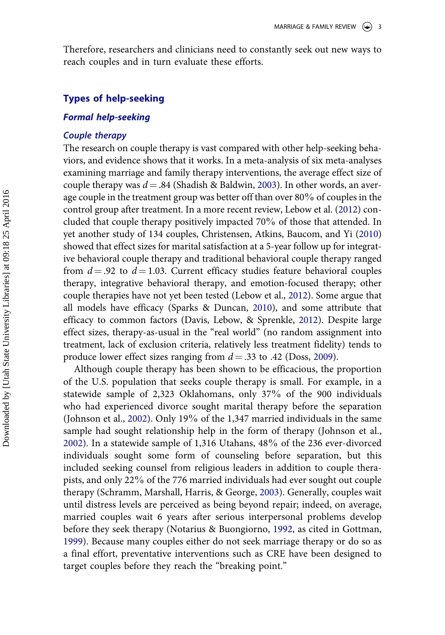Therefore, researchers and clinicians need to constantly seek out new ways to reach couples and in turn evaluate these efforts.

#### **Types of help-seeking**

#### *Formal help-seeking*

#### *Couple therapy*

The research on couple therapy is vast compared with other help-seeking behaviors, and evidence shows that it works. In a meta-analysis of six meta-analyses examining marriage and family therapy interventions, the average effect size of couple therapy was  $d = .84$  (Shadish & Baldwin, [2003](#page-22-0)). In other words, an average couple in the treatment group was better off than over  $80\%$  of couples in the control group after treatment. In a more recent review, Lebow et al. [\(2012\)](#page-20-0) concluded that couple therapy positively impacted 70% of those that attended. In yet another study of 134 couples, Christensen, Atkins, Baucom, and Yi ([2010](#page-17-0)) showed that effect sizes for marital satisfaction at a 5-year follow up for integrative behavioral couple therapy and traditional behavioral couple therapy ranged from  $d = .92$  to  $d = 1.03$ . Current efficacy studies feature behavioral couples therapy, integrative behavioral therapy, and emotion-focused therapy; other couple therapies have not yet been tested (Lebow et al., [2012](#page-20-0)). Some argue that all models have efficacy (Sparks & Duncan, [2010\)](#page-22-0), and some attribute that efficacy to common factors (Davis, Lebow, & Sprenkle, [2012](#page-18-0)). Despite large effect sizes, therapy-as-usual in the "real world" (no random assignment into treatment, lack of exclusion criteria, relatively less treatment fidelity) tends to produce lower effect sizes ranging from  $d = .33$  to  $.42$  (Doss, [2009\)](#page-18-0).

Although couple therapy has been shown to be efficacious, the proportion of the U.S. population that seeks couple therapy is small. For example, in a statewide sample of 2,323 Oklahomans, only 37% of the 900 individuals who had experienced divorce sought marital therapy before the separation (Johnson et al., [2002\)](#page-20-0). Only 19% of the 1,347 married individuals in the same sample had sought relationship help in the form of therapy (Johnson et al., [2002\)](#page-20-0). In a statewide sample of 1,316 Utahans, 48% of the 236 ever-divorced individuals sought some form of counseling before separation, but this included seeking counsel from religious leaders in addition to couple therapists, and only 22%of the 776 married individuals had ever sought out couple therapy (Schramm, Marshall, Harris, & George, [2003](#page-22-0)). Generally, couples wait until distress levels are perceived as being beyond repair; indeed, on average, married couples wait 6 years after serious interpersonal problems develop before they seek therapy (Notarius & Buongiorno, [1992](#page-21-0), as cited in Gottman, [1999\)](#page-19-0). Because many couples either do not seek marriage therapy or do so as a final effort, preventative interventions such as CRE have been designed to target couples before they reach the "breaking point."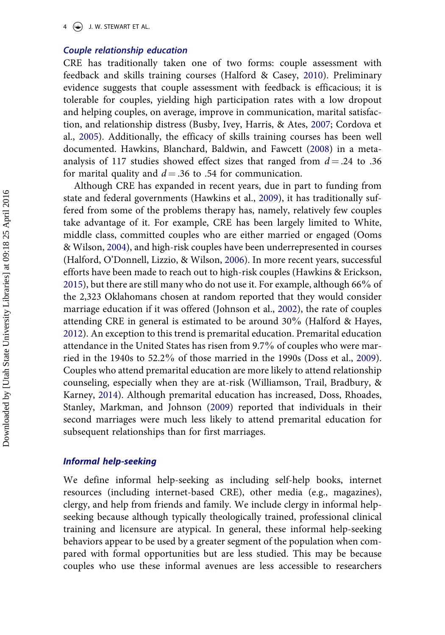$4 \quad (*)$  J. W. STEWART ET AL.

## *Couple relationship education*

CRE has traditionally taken one of two forms: couple assessment with feedback and skills training courses (Halford & Casey, [2010\)](#page-19-0). Preliminary evidence suggests that couple assessment with feedback is efficacious; it is tolerable for couples, yielding high participation rates with a low dropout and helping couples, on average, improve in communication, marital satisfaction, and relationship distress (Busby, Ivey, Harris, & Ates, [2007](#page-17-0); Cordova et al., [2005](#page-18-0)). Additionally, the efficacy of skills training courses has been well documented. Hawkins, Blanchard, Baldwin, and Fawcett [\(2008](#page-20-0)) in a metaanalysis of 117 studies showed effect sizes that ranged from  $d = .24$  to .36 for marital quality and  $d = 0.36$  to .54 for communication.

Although CRE has expanded in recent years, due in part to funding from state and federal governments (Hawkins et al., [2009](#page-20-0)), it has traditionally suffered from some of the problems therapy has, namely, relatively few couples take advantage of it. For example, CRE has been largely limited to White, middle class, committed couples who are either married or engaged (Ooms & Wilson, [2004\)](#page-21-0), and high-risk couples have been underrepresented in courses (Halford, O'Donnell, Lizzio, & Wilson, [2006](#page-19-0)). In more recent years, successful efforts have been made to reach out to high-risk couples (Hawkins & Erickson, [2015\)](#page-20-0), but there are still many who do not use it. For example, although 66%of the 2,323 Oklahomans chosen at random reported that they would consider marriage education if it was offered (Johnson et al., [2002\)](#page-20-0), the rate of couples attending CRE in general is estimated to be around 30%(Halford & Hayes, [2012\)](#page-19-0). An exception to this trend is premarital education. Premarital education attendance in the United States has risen from 9.7% of couples who were married in the 1940s to  $52.2\%$  of those married in the 1990s (Doss et al., [2009\)](#page-18-0). Couples who attend premarital education are more likely to attend relationship counseling, especially when they are at-risk (Williamson, Trail, Bradbury, & Karney, [2014](#page-23-0)). Although premarital education has increased, Doss, Rhoades, Stanley, Markman, and Johnson [\(2009](#page-18-0)) reported that individuals in their second marriages were much less likely to attend premarital education for subsequent relationships than for first marriages.

#### *Informal help-seeking*

We define informal help-seeking as including self-help books, internet resources (including internet-based CRE), other media (e.g., magazines), clergy, and help from friends and family. We include clergy in informal helpseeking because although typically theologically trained, professional clinical training and licensure are atypical. In general, these informal help-seeking behaviors appear to be used by a greater segment of the population when compared with formal opportunities but are less studied. This may be because couples who use these informal avenues are less accessible to researchers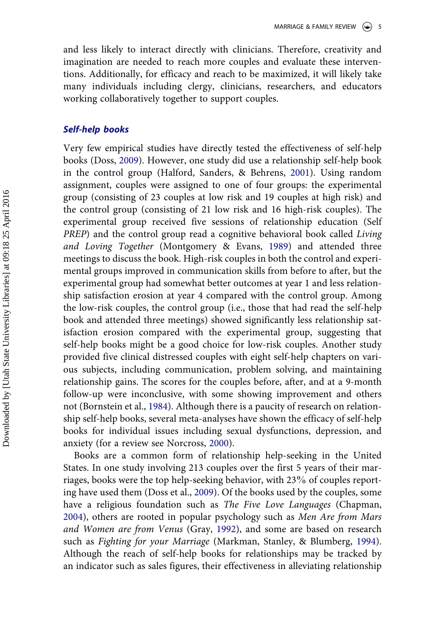and less likely to interact directly with clinicians. Therefore, creativity and imagination are needed to reach more couples and evaluate these interventions. Additionally, for efficacy and reach to be maximized, it will likely take many individuals including clergy, clinicians, researchers, and educators working collaboratively together to support couples.

#### *Self-help books*

Very few empirical studies have directly tested the effectiveness of self-help books (Doss, [2009\)](#page-18-0). However, one study did use a relationship self-help book in the control group (Halford, Sanders, & Behrens, [2001\)](#page-19-0). Using random assignment, couples were assigned to one of four groups: the experimental group (consisting of 23 couples at low risk and 19 couples at high risk) and the control group (consisting of 21 low risk and 16 high-risk couples). The experimental group received five sessions of relationship education (Self *PREP*) and the control group read a cognitive behavioral book called *Living and Loving Together* (Montgomery & Evans, [1989](#page-21-0)) and attended three meetings to discuss the book. High-risk couples in both the control and experimental groups improved in communication skills from before to after, but the experimental group had somewhat better outcomes at year 1 and less relationship satisfaction erosion at year 4 compared with the control group. Among the low-risk couples, the control group (i.e., those that had read the self-help book and attended three meetings) showed significantly less relationship satisfaction erosion compared with the experimental group, suggesting that self-help books might be a good choice for low-risk couples. Another study provided five clinical distressed couples with eight self-help chapters on various subjects, including communication, problem solving, and maintaining relationship gains. The scores for the couples before, after, and at a 9-month follow-up were inconclusive, with some showing improvement and others not (Bornstein et al., [1984\)](#page-17-0). Although there is a paucity of research on relationship self-help books, several meta-analyses have shown the efficacy of self-help books for individual issues including sexual dysfunctions, depression, and anxiety (for a review see Norcross, [2000\)](#page-21-0).

Books are a common form of relationship help-seeking in the United States. In one study involving 213 couples over the first 5 years of their marriages, books were the top help-seeking behavior, with 23% of couples reporting have used them (Doss et al., [2009\)](#page-18-0). Of the books used by the couples, some have a religious foundation such as *The Five Love Languages* (Chapman, [2004\)](#page-17-0), others are rooted in popular psychology such as *Men Are from Mars and Women are from Venus* (Gray, [1992](#page-19-0)), and some are based on research such as *Fighting for your Marriage* (Markman, Stanley, & Blumberg, [1994\)](#page-21-0). Although the reach of self-help books for relationships may be tracked by an indicator such as sales figures, their effectiveness in alleviating relationship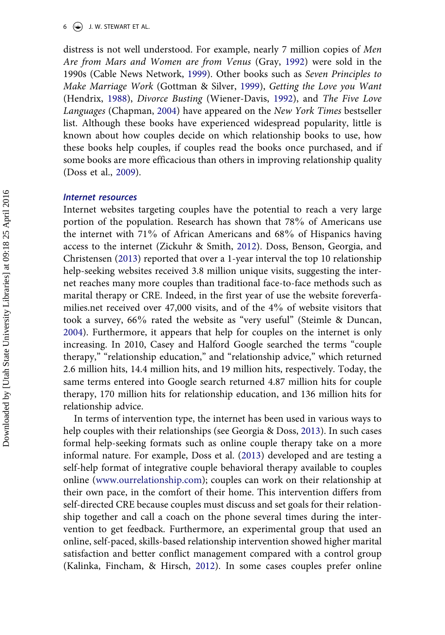#### $6 \leftrightarrow$  J. W. STEWART ET AL.

distress is not well understood. For example, nearly 7 million copies of *Men Are from Mars and Women are from Venus* (Gray, [1992\)](#page-19-0) were sold in the 1990s (Cable News Network, [1999](#page-17-0)). Other books such as *Seven Principles to Make Marriage Work* (Gottman & Silver, [1999](#page-19-0)), *Getting the Love you Want*  (Hendrix, [1988\)](#page-20-0), *Divorce Busting* (Wiener-Davis, [1992\)](#page-23-0), and *The Five Love Languages* (Chapman, [2004\)](#page-17-0) have appeared on the *New York Times* bestseller list. Although these books have experienced widespread popularity, little is known about how couples decide on which relationship books to use, how these books help couples, if couples read the books once purchased, and if some books are more efficacious than others in improving relationship quality (Doss et al., [2009](#page-18-0)).

#### *Internet resources*

Internet websites targeting couples have the potential to reach a very large portion of the population. Research has shown that 78% of Americans use the internet with 71% of African Americans and  $68\%$  of Hispanics having access to the internet (Zickuhr & Smith, [2012](#page-23-0)). Doss, Benson, Georgia, and Christensen ([2013\)](#page-18-0) reported that over a 1-year interval the top 10 relationship help-seeking websites received 3.8 million unique visits, suggesting the internet reaches many more couples than traditional face-to-face methods such as marital therapy or CRE. Indeed, in the first year of use the website foreverfamilies.net received over 47,000 visits, and of the  $4\%$  of website visitors that took a survey, 66% rated the website as "very useful" (Steimle & Duncan, [2004\)](#page-22-0). Furthermore, it appears that help for couples on the internet is only increasing. In 2010, Casey and Halford Google searched the terms "couple therapy," "relationship education," and "relationship advice," which returned 2.6 million hits, 14.4 million hits, and 19 million hits, respectively. Today, the same terms entered into Google search returned 4.87 million hits for couple therapy, 170 million hits for relationship education, and 136 million hits for relationship advice.

In terms of intervention type, the internet has been used in various ways to help couples with their relationships (see Georgia & Doss, [2013\)](#page-19-0). In such cases formal help-seeking formats such as online couple therapy take on a more informal nature. For example, Doss et al. [\(2013](#page-18-0)) developed and are testing a self-help format of integrative couple behavioral therapy available to couples online [\(www.ourrelationship.com\)](http://www.ourrelationship.com); couples can work on their relationship at their own pace, in the comfort of their home. This intervention differs from self-directed CRE because couples must discuss and set goals for their relationship together and call a coach on the phone several times during the intervention to get feedback. Furthermore, an experimental group that used an online, self-paced, skills-based relationship intervention showed higher marital satisfaction and better conflict management compared with a control group (Kalinka, Fincham, & Hirsch, [2012](#page-20-0)). In some cases couples prefer online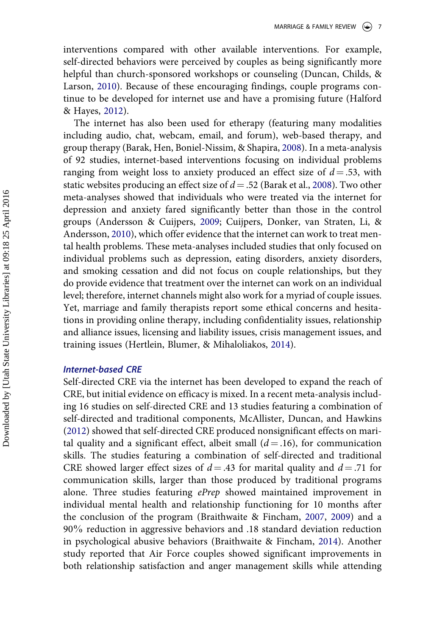interventions compared with other available interventions. For example, self-directed behaviors were perceived by couples as being significantly more helpful than church-sponsored workshops or counseling (Duncan, Childs, & Larson, [2010\)](#page-18-0). Because of these encouraging findings, couple programs continue to be developed for internet use and have a promising future (Halford & Hayes, [2012\)](#page-19-0).

The internet has also been used for etherapy (featuring many modalities including audio, chat, webcam, email, and forum), web-based therapy, and group therapy (Barak, Hen, Boniel-Nissim, & Shapira, [2008](#page-17-0)). In a meta-analysis of 92 studies, internet-based interventions focusing on individual problems ranging from weight loss to anxiety produced an effect size of  $d = 0.53$ , with static websites producing an effect size of  $d = .52$  (Barak et al., [2008\)](#page-17-0). Two other meta-analyses showed that individuals who were treated via the internet for depression and anxiety fared significantly better than those in the control groups (Andersson & Cuijpers, [2009](#page-16-0); Cuijpers, Donker, van Straten, Li, & Andersson, [2010](#page-18-0)), which offer evidence that the internet can work to treat mental health problems. These meta-analyses included studies that only focused on individual problems such as depression, eating disorders, anxiety disorders, and smoking cessation and did not focus on couple relationships, but they do provide evidence that treatment over the internet can work on an individual level; therefore, internet channels might also work for a myriad of couple issues. Yet, marriage and family therapists report some ethical concerns and hesitations in providing online therapy, including confidentiality issues, relationship and alliance issues, licensing and liability issues, crisis management issues, and training issues (Hertlein, Blumer, & Mihaloliakos, [2014\)](#page-20-0).

#### *Internet-based CRE*

Self-directed CRE via the internet has been developed to expand the reach of CRE, but initial evidence on efficacy is mixed. In a recent meta-analysis including 16 studies on self-directed CRE and 13 studies featuring a combination of self-directed and traditional components, McAllister, Duncan, and Hawkins ([2012\)](#page-21-0) showed that self-directed CRE produced nonsignificant effects on marital quality and a significant effect, albeit small  $(d = .16)$ , for communication skills. The studies featuring a combination of self-directed and traditional CRE showed larger effect sizes of  $d = .43$  for marital quality and  $d = .71$  for communication skills, larger than those produced by traditional programs alone. Three studies featuring *ePrep* showed maintained improvement in individual mental health and relationship functioning for 10 months after the conclusion of the program (Braithwaite & Fincham, [2007,](#page-17-0) [2009\)](#page-17-0) and a 90%reduction in aggressive behaviors and .18 standard deviation reduction in psychological abusive behaviors (Braithwaite & Fincham, [2014\)](#page-17-0). Another study reported that Air Force couples showed significant improvements in both relationship satisfaction and anger management skills while attending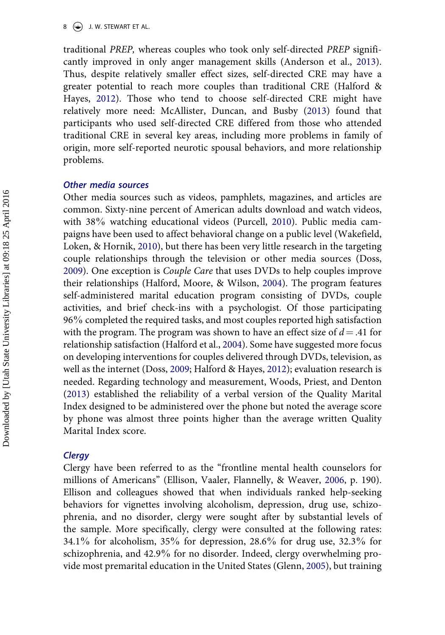traditional *PREP,* whereas couples who took only self-directed *PREP* significantly improved in only anger management skills (Anderson et al., [2013\)](#page-17-0). Thus, despite relatively smaller effect sizes, self-directed CRE may have a greater potential to reach more couples than traditional CRE (Halford & Hayes, [2012\)](#page-19-0). Those who tend to choose self-directed CRE might have relatively more need: McAllister, Duncan, and Busby ([2013\)](#page-21-0) found that participants who used self-directed CRE differed from those who attended traditional CRE in several key areas, including more problems in family of origin, more self-reported neurotic spousal behaviors, and more relationship problems.

#### *Other media sources*

Other media sources such as videos, pamphlets, magazines, and articles are common. Sixty-nine percent of American adults download and watch videos, with 38% watching educational videos (Purcell, [2010](#page-22-0)). Public media campaigns have been used to affect behavioral change on a public level (Wakefield, Loken, & Hornik, [2010](#page-22-0)), but there has been very little research in the targeting couple relationships through the television or other media sources (Doss, [2009\)](#page-18-0). One exception is *Couple Care* that uses DVDs to help couples improve their relationships (Halford, Moore, & Wilson, [2004](#page-19-0)). The program features self-administered marital education program consisting of DVDs, couple activities, and brief check-ins with a psychologist. Of those participating 96% completed the required tasks, and most couples reported high satisfaction with the program. The program was shown to have an effect size of  $d = .41$  for relationship satisfaction (Halford et al., [2004](#page-19-0)). Some have suggested more focus on developing interventions for couples delivered through DVDs, television, as well as the internet (Doss, [2009;](#page-18-0) Halford & Hayes, [2012](#page-19-0)); evaluation research is needed. Regarding technology and measurement, Woods, Priest, and Denton ([2013\)](#page-23-0) established the reliability of a verbal version of the Quality Marital Index designed to be administered over the phone but noted the average score by phone was almost three points higher than the average written Quality Marital Index score.

#### *Clergy*

Clergy have been referred to as the "frontline mental health counselors for millions of Americans" (Ellison, Vaaler, Flannelly, & Weaver, [2006,](#page-18-0) p. 190). Ellison and colleagues showed that when individuals ranked help-seeking behaviors for vignettes involving alcoholism, depression, drug use, schizophrenia, and no disorder, clergy were sought after by substantial levels of the sample. More specifically, clergy were consulted at the following rates: 34.1% for alcoholism, 35% for depression, 28.6% for drug use, 32.3% for schizophrenia, and 42.9% for no disorder. Indeed, clergy overwhelming provide most premarital education in the United States (Glenn, [2005\)](#page-19-0), but training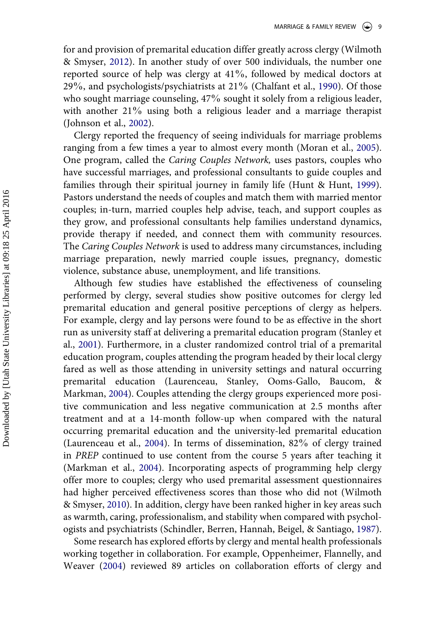for and provision of premarital education differ greatly across clergy (Wilmoth & Smyser, [2012](#page-23-0)). In another study of over 500 individuals, the number one reported source of help was clergy at 41%, followed by medical doctors at 29%, and psychologists/psychiatrists at 21%(Chalfant et al., [1990](#page-17-0)). Of those who sought marriage counseling, 47% sought it solely from a religious leader, with another 21% using both a religious leader and a marriage therapist (Johnson et al., [2002\)](#page-20-0).

Clergy reported the frequency of seeing individuals for marriage problems ranging from a few times a year to almost every month (Moran et al., [2005\)](#page-21-0). One program, called the *Caring Couples Network,* uses pastors, couples who have successful marriages, and professional consultants to guide couples and families through their spiritual journey in family life (Hunt & Hunt, [1999\)](#page-20-0). Pastors understand the needs of couples and match them with married mentor couples; in-turn, married couples help advise, teach, and support couples as they grow, and professional consultants help families understand dynamics, provide therapy if needed, and connect them with community resources. The *Caring Couples Network* is used to address many circumstances, including marriage preparation, newly married couple issues, pregnancy, domestic violence, substance abuse, unemployment, and life transitions.

Although few studies have established the effectiveness of counseling performed by clergy, several studies show positive outcomes for clergy led premarital education and general positive perceptions of clergy as helpers. For example, clergy and lay persons were found to be as effective in the short run as university staff at delivering a premarital education program (Stanley et al., [2001\)](#page-22-0). Furthermore, in a cluster randomized control trial of a premarital education program, couples attending the program headed by their local clergy fared as well as those attending in university settings and natural occurring premarital education (Laurenceau, Stanley, Ooms-Gallo, Baucom, & Markman, [2004\)](#page-21-0). Couples attending the clergy groups experienced more positive communication and less negative communication at 2.5 months after treatment and at a 14-month follow-up when compared with the natural occurring premarital education and the university-led premarital education (Laurenceau et al., [2004\)](#page-20-0). In terms of dissemination, 82% of clergy trained in *PREP* continued to use content from the course 5 years after teaching it (Markman et al., [2004](#page-21-0)). Incorporating aspects of programming help clergy offer more to couples; clergy who used premarital assessment questionnaires had higher perceived effectiveness scores than those who did not (Wilmoth & Smyser, [2010](#page-23-0)). In addition, clergy have been ranked higher in key areas such as warmth, caring, professionalism, and stability when compared with psychologists and psychiatrists (Schindler, Berren, Hannah, Beigel, & Santiago, [1987\)](#page-22-0).

Some research has explored efforts by clergy and mental health professionals working together in collaboration. For example, Oppenheimer, Flannelly, and Weaver ([2004\)](#page-21-0) reviewed 89 articles on collaboration efforts of clergy and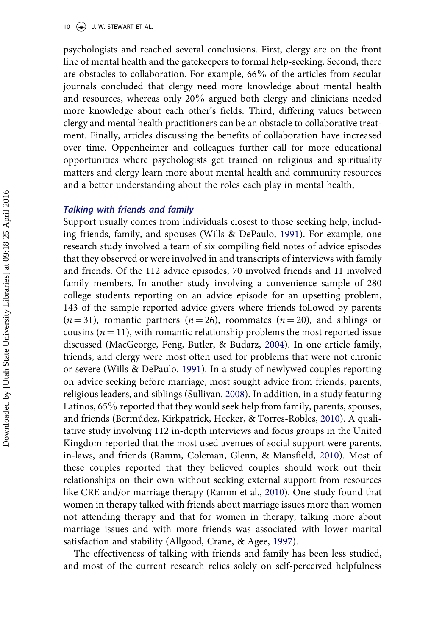psychologists and reached several conclusions. First, clergy are on the front line of mental health and the gatekeepers to formal help-seeking. Second, there are obstacles to collaboration. For example,  $66\%$  of the articles from secular journals concluded that clergy need more knowledge about mental health and resources, whereas only 20% argued both clergy and clinicians needed more knowledge about each other's fields. Third, differing values between clergy and mental health practitioners can be an obstacle to collaborative treatment. Finally, articles discussing the benefits of collaboration have increased over time. Oppenheimer and colleagues further call for more educational opportunities where psychologists get trained on religious and spirituality matters and clergy learn more about mental health and community resources and a better understanding about the roles each play in mental health,

#### *Talking with friends and family*

Support usually comes from individuals closest to those seeking help, including friends, family, and spouses (Wills & DePaulo, [1991](#page-23-0)). For example, one research study involved a team of six compiling field notes of advice episodes that they observed or were involved in and transcripts of interviews with family and friends. Of the 112 advice episodes, 70 involved friends and 11 involved family members. In another study involving a convenience sample of 280 college students reporting on an advice episode for an upsetting problem, 143 of the sample reported advice givers where friends followed by parents  $(n = 31)$ , romantic partners  $(n = 26)$ , roommates  $(n = 20)$ , and siblings or cousins ( $n = 11$ ), with romantic relationship problems the most reported issue discussed (MacGeorge, Feng, Butler, & Budarz, [2004\)](#page-20-0). In one article family, friends, and clergy were most often used for problems that were not chronic or severe (Wills & DePaulo, [1991\)](#page-23-0). In a study of newlywed couples reporting on advice seeking before marriage, most sought advice from friends, parents, religious leaders, and siblings (Sullivan, [2008](#page-22-0)). In addition, in a study featuring Latinos,  $65\%$  reported that they would seek help from family, parents, spouses, and friends (Bermúdez, Kirkpatrick, Hecker, & Torres-Robles, [2010\)](#page-17-0). A qualitative study involving 112 in-depth interviews and focus groups in the United Kingdom reported that the most used avenues of social support were parents, in-laws, and friends (Ramm, Coleman, Glenn, & Mansfield, [2010\)](#page-22-0). Most of these couples reported that they believed couples should work out their relationships on their own without seeking external support from resources like CRE and/or marriage therapy (Ramm et al., [2010\)](#page-22-0). One study found that women in therapy talked with friends about marriage issues more than women not attending therapy and that for women in therapy, talking more about marriage issues and with more friends was associated with lower marital satisfaction and stability (Allgood, Crane, & Agee, [1997](#page-16-0)).

The effectiveness of talking with friends and family has been less studied, and most of the current research relies solely on self-perceived helpfulness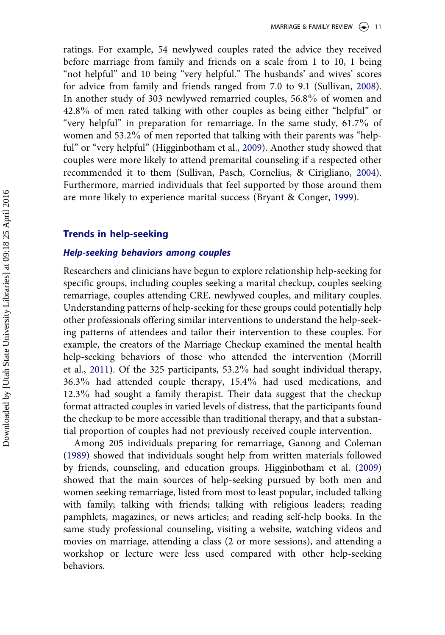ratings. For example, 54 newlywed couples rated the advice they received before marriage from family and friends on a scale from 1 to 10, 1 being "not helpful" and 10 being "very helpful." The husbands' and wives' scores for advice from family and friends ranged from 7.0 to 9.1 (Sullivan, [2008\)](#page-22-0). In another study of 303 newlywed remarried couples, 56.8% of women and 42.8% of men rated talking with other couples as being either "helpful" or "very helpful" in preparation for remarriage. In the same study, 61.7% of women and 53.2% of men reported that talking with their parents was "helpful" or "very helpful" (Higginbotham et al., [2009\)](#page-20-0). Another study showed that couples were more likely to attend premarital counseling if a respected other recommended it to them (Sullivan, Pasch, Cornelius, & Cirigliano, [2004\)](#page-22-0). Furthermore, married individuals that feel supported by those around them are more likely to experience marital success (Bryant & Conger, [1999](#page-17-0)).

#### **Trends in help-seeking**

### *Help-seeking behaviors among couples*

Researchers and clinicians have begun to explore relationship help-seeking for specific groups, including couples seeking a marital checkup, couples seeking remarriage, couples attending CRE, newlywed couples, and military couples. Understanding patterns of help-seeking for these groups could potentially help other professionals offering similar interventions to understand the help-seeking patterns of attendees and tailor their intervention to these couples. For example, the creators of the Marriage Checkup examined the mental health help-seeking behaviors of those who attended the intervention (Morrill et al., [2011\)](#page-21-0). Of the 325 participants,  $53.2\%$  had sought individual therapy, 36.3% had attended couple therapy, 15.4% had used medications, and 12.3% had sought a family therapist. Their data suggest that the checkup format attracted couples in varied levels of distress, that the participants found the checkup to be more accessible than traditional therapy, and that a substantial proportion of couples had not previously received couple intervention.

Among 205 individuals preparing for remarriage, Ganong and Coleman ([1989\)](#page-19-0) showed that individuals sought help from written materials followed by friends, counseling, and education groups. Higginbotham et al. [\(2009](#page-20-0)) showed that the main sources of help-seeking pursued by both men and women seeking remarriage, listed from most to least popular, included talking with family; talking with friends; talking with religious leaders; reading pamphlets, magazines, or news articles; and reading self-help books. In the same study professional counseling, visiting a website, watching videos and movies on marriage, attending a class (2 or more sessions), and attending a workshop or lecture were less used compared with other help-seeking behaviors.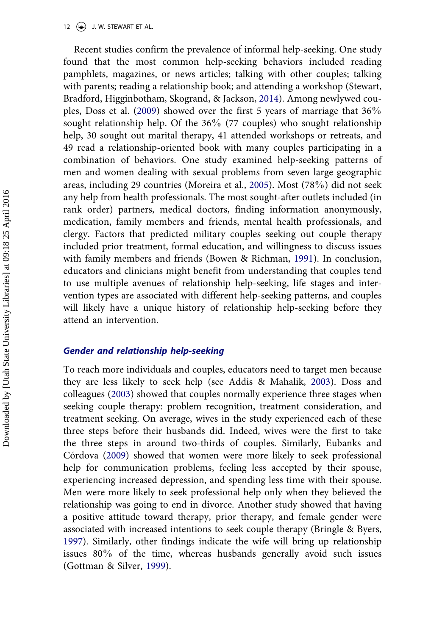12  $\left(\rightarrow\right)$  J. W. STEWART ET AL.

Recent studies confirm the prevalence of informal help-seeking. One study found that the most common help-seeking behaviors included reading pamphlets, magazines, or news articles; talking with other couples; talking with parents; reading a relationship book; and attending a workshop (Stewart, Bradford, Higginbotham, Skogrand, & Jackson, [2014](#page-22-0)). Among newlywed couples, Doss et al. [\(2009](#page-18-0)) showed over the first 5 years of marriage that 36% sought relationship help. Of the 36% (77 couples) who sought relationship help, 30 sought out marital therapy, 41 attended workshops or retreats, and 49 read a relationship-oriented book with many couples participating in a combination of behaviors. One study examined help-seeking patterns of men and women dealing with sexual problems from seven large geographic areas, including 29 countries (Moreira et al., [2005](#page-21-0)). Most (78%) did not seek any help from health professionals. The most sought-after outlets included (in rank order) partners, medical doctors, finding information anonymously, medication, family members and friends, mental health professionals, and clergy. Factors that predicted military couples seeking out couple therapy included prior treatment, formal education, and willingness to discuss issues with family members and friends (Bowen & Richman, [1991\)](#page-17-0). In conclusion, educators and clinicians might benefit from understanding that couples tend to use multiple avenues of relationship help-seeking, life stages and intervention types are associated with different help-seeking patterns, and couples will likely have a unique history of relationship help-seeking before they attend an intervention.

#### *Gender and relationship help-seeking*

To reach more individuals and couples, educators need to target men because they are less likely to seek help (see Addis & Mahalik, [2003](#page-16-0)). Doss and colleagues ([2003\)](#page-18-0) showed that couples normally experience three stages when seeking couple therapy: problem recognition, treatment consideration, and treatment seeking. On average, wives in the study experienced each of these three steps before their husbands did. Indeed, wives were the first to take the three steps in around two-thirds of couples. Similarly, Eubanks and Córdova [\(2009](#page-18-0)) showed that women were more likely to seek professional help for communication problems, feeling less accepted by their spouse, experiencing increased depression, and spending less time with their spouse. Men were more likely to seek professional help only when they believed the relationship was going to end in divorce. Another study showed that having a positive attitude toward therapy, prior therapy, and female gender were associated with increased intentions to seek couple therapy (Bringle & Byers, [1997\)](#page-17-0). Similarly, other findings indicate the wife will bring up relationship issues 80% of the time, whereas husbands generally avoid such issues (Gottman & Silver, [1999](#page-19-0)).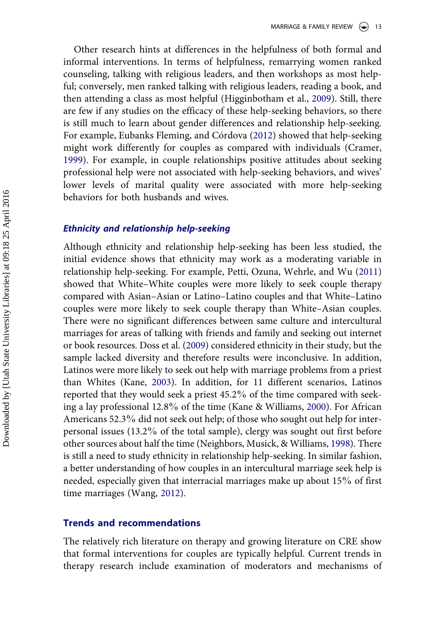Other research hints at differences in the helpfulness of both formal and informal interventions. In terms of helpfulness, remarrying women ranked counseling, talking with religious leaders, and then workshops as most helpful; conversely, men ranked talking with religious leaders, reading a book, and then attending a class as most helpful (Higginbotham et al., [2009](#page-20-0)). Still, there are few if any studies on the efficacy of these help-seeking behaviors, so there is still much to learn about gender differences and relationship help-seeking. For example, Eubanks Fleming, and Córdova ([2012\)](#page-19-0) showed that help-seeking might work differently for couples as compared with individuals (Cramer, [1999\)](#page-18-0). For example, in couple relationships positive attitudes about seeking professional help were not associated with help-seeking behaviors, and wives' lower levels of marital quality were associated with more help-seeking behaviors for both husbands and wives.

#### *Ethnicity and relationship help-seeking*

Although ethnicity and relationship help-seeking has been less studied, the initial evidence shows that ethnicity may work as a moderating variable in relationship help-seeking. For example, Petti, Ozuna, Wehrle, and Wu [\(2011](#page-21-0)) showed that White–White couples were more likely to seek couple therapy compared with Asian–Asian or Latino–Latino couples and that White–Latino couples were more likely to seek couple therapy than White–Asian couples. There were no significant differences between same culture and intercultural marriages for areas of talking with friends and family and seeking out internet or book resources. Doss et al. ([2009\)](#page-18-0) considered ethnicity in their study, but the sample lacked diversity and therefore results were inconclusive. In addition, Latinos were more likely to seek out help with marriage problems from a priest than Whites (Kane, [2003\)](#page-20-0). In addition, for 11 different scenarios, Latinos reported that they would seek a priest 45.2% of the time compared with seek-ing a lay professional 12.8% of the time (Kane & Williams, [2000](#page-20-0)). For African Americans  $52.3\%$  did not seek out help; of those who sought out help for interpersonal issues (13.2% of the total sample), clergy was sought out first before other sources about half the time (Neighbors, Musick, & Williams, [1998](#page-21-0)). There is still a need to study ethnicity in relationship help-seeking. In similar fashion, a better understanding of how couples in an intercultural marriage seek help is needed, especially given that interracial marriages make up about 15% of first time marriages (Wang, [2012\)](#page-22-0).

#### **Trends and recommendations**

The relatively rich literature on therapy and growing literature on CRE show that formal interventions for couples are typically helpful. Current trends in therapy research include examination of moderators and mechanisms of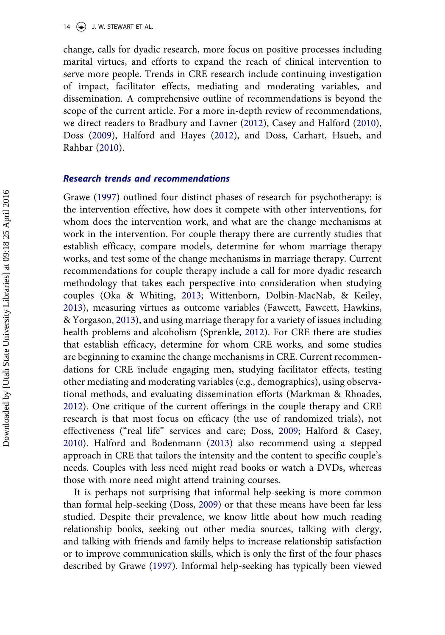change, calls for dyadic research, more focus on positive processes including marital virtues, and efforts to expand the reach of clinical intervention to serve more people. Trends in CRE research include continuing investigation of impact, facilitator effects, mediating and moderating variables, and dissemination. A comprehensive outline of recommendations is beyond the scope of the current article. For a more in-depth review of recommendations, we direct readers to Bradbury and Lavner [\(2012](#page-17-0)), Casey and Halford ([2010\)](#page-17-0), Doss [\(2009](#page-18-0)), Halford and Hayes ([2012\)](#page-19-0), and Doss, Carhart, Hsueh, and Rahbar [\(2010](#page-18-0)).

#### *Research trends and recommendations*

Grawe ([1997\)](#page-19-0) outlined four distinct phases of research for psychotherapy: is the intervention effective, how does it compete with other interventions, for whom does the intervention work, and what are the change mechanisms at work in the intervention. For couple therapy there are currently studies that establish efficacy, compare models, determine for whom marriage therapy works, and test some of the change mechanisms in marriage therapy. Current recommendations for couple therapy include a call for more dyadic research methodology that takes each perspective into consideration when studying couples (Oka & Whiting, [2013;](#page-21-0) Wittenborn, Dolbin-MacNab, & Keiley, [2013\)](#page-23-0), measuring virtues as outcome variables (Fawcett, Fawcett, Hawkins, & Yorgason, [2013](#page-19-0)), and using marriage therapy for a variety of issues including health problems and alcoholism (Sprenkle, [2012](#page-22-0)). For CRE there are studies that establish efficacy, determine for whom CRE works, and some studies are beginning to examine the change mechanisms in CRE. Current recommendations for CRE include engaging men, studying facilitator effects, testing other mediating and moderating variables (e.g., demographics), using observational methods, and evaluating dissemination efforts (Markman & Rhoades, [2012\)](#page-20-0). One critique of the current offerings in the couple therapy and CRE research is that most focus on efficacy (the use of randomized trials), not effectiveness ("real life" services and care; Doss, [2009;](#page-18-0) Halford & Casey, [2010\)](#page-18-0). Halford and Bodenmann ([2013\)](#page-19-0) also recommend using a stepped approach in CRE that tailors the intensity and the content to specific couple's needs. Couples with less need might read books or watch a DVDs, whereas those with more need might attend training courses.

It is perhaps not surprising that informal help-seeking is more common than formal help-seeking (Doss, [2009\)](#page-18-0) or that these means have been far less studied. Despite their prevalence, we know little about how much reading relationship books, seeking out other media sources, talking with clergy, and talking with friends and family helps to increase relationship satisfaction or to improve communication skills, which is only the first of the four phases described by Grawe ([1997\)](#page-19-0). Informal help-seeking has typically been viewed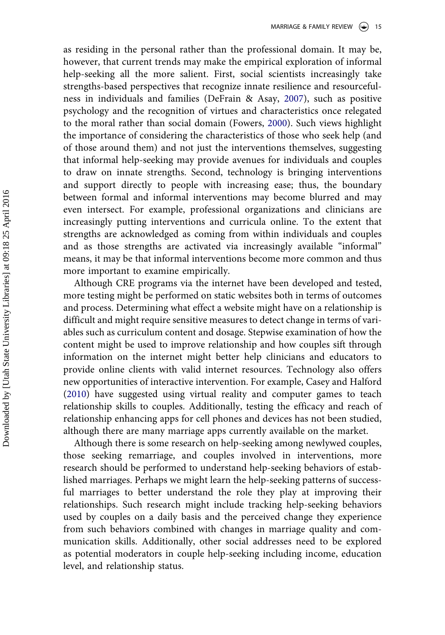as residing in the personal rather than the professional domain. It may be, however, that current trends may make the empirical exploration of informal help-seeking all the more salient. First, social scientists increasingly take strengths-based perspectives that recognize innate resilience and resourcefulness in individuals and families (DeFrain & Asay, [2007\)](#page-18-0), such as positive psychology and the recognition of virtues and characteristics once relegated to the moral rather than social domain (Fowers, [2000](#page-19-0)). Such views highlight the importance of considering the characteristics of those who seek help (and of those around them) and not just the interventions themselves, suggesting that informal help-seeking may provide avenues for individuals and couples to draw on innate strengths. Second, technology is bringing interventions and support directly to people with increasing ease; thus, the boundary between formal and informal interventions may become blurred and may even intersect. For example, professional organizations and clinicians are increasingly putting interventions and curricula online. To the extent that strengths are acknowledged as coming from within individuals and couples and as those strengths are activated via increasingly available "informal" means, it may be that informal interventions become more common and thus more important to examine empirically.

Although CRE programs via the internet have been developed and tested, more testing might be performed on static websites both in terms of outcomes and process. Determining what effect a website might have on a relationship is difficult and might require sensitive measures to detect change in terms of variables such as curriculum content and dosage. Stepwise examination of how the content might be used to improve relationship and how couples sift through information on the internet might better help clinicians and educators to provide online clients with valid internet resources. Technology also offers new opportunities of interactive intervention. For example, Casey and Halford ([2010\)](#page-17-0) have suggested using virtual reality and computer games to teach relationship skills to couples. Additionally, testing the efficacy and reach of relationship enhancing apps for cell phones and devices has not been studied, although there are many marriage apps currently available on the market.

Although there is some research on help-seeking among newlywed couples, those seeking remarriage, and couples involved in interventions, more research should be performed to understand help-seeking behaviors of established marriages. Perhaps we might learn the help-seeking patterns of successful marriages to better understand the role they play at improving their relationships. Such research might include tracking help-seeking behaviors used by couples on a daily basis and the perceived change they experience from such behaviors combined with changes in marriage quality and communication skills. Additionally, other social addresses need to be explored as potential moderators in couple help-seeking including income, education level, and relationship status.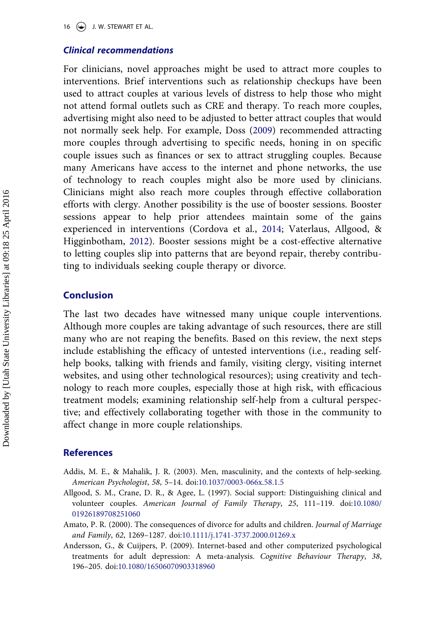#### <span id="page-16-0"></span>*Clinical recommendations*

For clinicians, novel approaches might be used to attract more couples to interventions. Brief interventions such as relationship checkups have been used to attract couples at various levels of distress to help those who might not attend formal outlets such as CRE and therapy. To reach more couples, advertising might also need to be adjusted to better attract couples that would not normally seek help. For example, Doss [\(2009](#page-18-0)) recommended attracting more couples through advertising to specific needs, honing in on specific couple issues such as finances or sex to attract struggling couples. Because many Americans have access to the internet and phone networks, the use of technology to reach couples might also be more used by clinicians. Clinicians might also reach more couples through effective collaboration efforts with clergy. Another possibility is the use of booster sessions. Booster sessions appear to help prior attendees maintain some of the gains experienced in interventions (Cordova et al., [2014;](#page-18-0) Vaterlaus, Allgood, & Higginbotham, [2012\)](#page-22-0). Booster sessions might be a cost-effective alternative to letting couples slip into patterns that are beyond repair, thereby contributing to individuals seeking couple therapy or divorce.

#### **Conclusion**

The last two decades have witnessed many unique couple interventions. Although more couples are taking advantage of such resources, there are still many who are not reaping the benefits. Based on this review, the next steps include establishing the efficacy of untested interventions (i.e., reading selfhelp books, talking with friends and family, visiting clergy, visiting internet websites, and using other technological resources); using creativity and technology to reach more couples, especially those at high risk, with efficacious treatment models; examining relationship self-help from a cultural perspective; and effectively collaborating together with those in the community to affect change in more couple relationships.

#### **References**

- Addis, M. E., & Mahalik, J. R. (2003). Men, masculinity, and the contexts of help-seeking. *American Psychologist*, *58*, 5–14. doi:[10.1037/0003-066x.58.1.5](http://dx.doi.org/10.1037/0003-066x.58.1.5)
- Allgood, S. M., Crane, D. R., & Agee, L. (1997). Social support: Distinguishing clinical and volunteer couples. *American Journal of Family Therapy*, *25*, 111–119. doi:[10.1080/](http://dx.doi.org/10.1080/01926189708251060) [01926189708251060](http://dx.doi.org/10.1080/01926189708251060)
- Amato, P. R. (2000). The consequences of divorce for adults and children. *Journal of Marriage and Family*, *62*, 1269–1287. doi[:10.1111/j.1741-3737.2000.01269.x](http://dx.doi.org/10.1111/j.1741-3737.2000.01269.x)
- Andersson, G., & Cuijpers, P. (2009). Internet-based and other computerized psychological treatments for adult depression: A meta-analysis. *Cognitive Behaviour Therapy*, *38*, 196–205. doi:[10.1080/16506070903318960](http://dx.doi.org/10.1080/16506070903318960)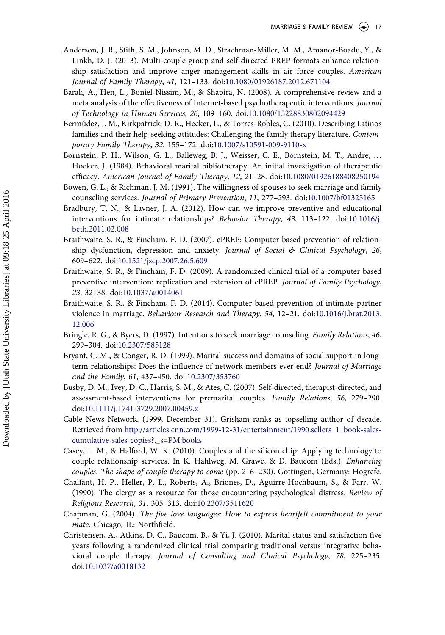- <span id="page-17-0"></span>Anderson, J. R., Stith, S. M., Johnson, M. D., Strachman-Miller, M. M., Amanor-Boadu, Y., & Linkh, D. J. (2013). Multi-couple group and self-directed PREP formats enhance relationship satisfaction and improve anger management skills in air force couples. *American Journal of Family Therapy*, *41*, 121–133. doi[:10.1080/01926187.2012.671104](http://dx.doi.org/10.1080/01926187.2012.671104)
- Barak, A., Hen, L., Boniel-Nissim, M., & Shapira, N. (2008). A comprehensive review and a meta analysis of the effectiveness of Internet-based psychotherapeutic interventions. *Journal of Technology in Human Services*, *26*, 109–160. doi[:10.1080/15228830802094429](http://dx.doi.org/10.1080/15228830802094429)
- Bermúdez, J. M., Kirkpatrick, D. R., Hecker, L., & Torres-Robles, C. (2010). Describing Latinos families and their help-seeking attitudes: Challenging the family therapy literature. *Contemporary Family Therapy*, *32*, 155–172. doi:[10.1007/s10591-009-9110-x](http://dx.doi.org/10.1007/s10591-009-9110-x)
- Bornstein, P. H., Wilson, G. L., Balleweg, B. J., Weisser, C. E., Bornstein, M. T., Andre, … Hocker, J. (1984). Behavioral marital bibliotherapy: An initial investigation of therapeutic efficacy. *American Journal of Family Therapy*, *12*, 21–28. doi[:10.1080/01926188408250194](http://dx.doi.org/10.1080/01926188408250194)
- Bowen, G. L., & Richman, J. M. (1991). The willingness of spouses to seek marriage and family counseling services. *Journal of Primary Prevention*, *11*, 277–293. doi[:10.1007/bf01325165](http://dx.doi.org/10.1007/bf01325165)
- Bradbury, T. N., & Lavner, J. A. (2012). How can we improve preventive and educational interventions for intimate relationships? *Behavior Therapy*, *43*, 113–122. doi[:10.1016/j.](http://dx.doi.org/10.1016/j.beth.2011.02.008) [beth.2011.02.008](http://dx.doi.org/10.1016/j.beth.2011.02.008)
- Braithwaite, S. R., & Fincham, F. D. (2007). ePREP: Computer based prevention of relationship dysfunction, depression and anxiety. *Journal of Social & Clinical Psychology*, *26*, 609–622. doi:[10.1521/jscp.2007.26.5.609](http://dx.doi.org/10.1521/jscp.2007.26.5.609)
- Braithwaite, S. R., & Fincham, F. D. (2009). A randomized clinical trial of a computer based preventive intervention: replication and extension of ePREP. *Journal of Family Psychology*, *23*, 32–38. doi:[10.1037/a0014061](http://dx.doi.org/10.1037/a0014061)
- Braithwaite, S. R., & Fincham, F. D. (2014). Computer-based prevention of intimate partner violence in marriage. *Behaviour Research and Therapy*, *54*, 12–21. doi[:10.1016/j.brat.2013.](http://dx.doi.org/10.1016/j.brat.2013.12.006) [12.006](http://dx.doi.org/10.1016/j.brat.2013.12.006)
- Bringle, R. G., & Byers, D. (1997). Intentions to seek marriage counseling. *Family Relations*, *46*, 299–304. doi:[10.2307/585128](http://dx.doi.org/10.2307/585128)
- Bryant, C. M., & Conger, R. D. (1999). Marital success and domains of social support in longterm relationships: Does the influence of network members ever end? *Journal of Marriage and the Family*, *61*, 437–450. doi:[10.2307/353760](http://dx.doi.org/10.2307/353760)
- Busby, D. M., Ivey, D. C., Harris, S. M., & Ates, C. (2007). Self-directed, therapist-directed, and assessment-based interventions for premarital couples. *Family Relations*, *56*, 279–290. doi[:10.1111/j.1741-3729.2007.00459.x](http://dx.doi.org/10.1111/j.1741-3729.2007.00459.x)
- Cable News Network. (1999, December 31). Grisham ranks as topselling author of decade. Retrieved from [http://articles.cnn.com/1999-12-31/entertainment/1990.sellers\\_1\\_book-sales](http://articles.cnn.com/1999-12-31/entertainment/1990.sellers_1_book-sales-cumulative-sales-copies?._s=PM:books)[cumulative-sales-copies?.\\_s=PM:books](http://articles.cnn.com/1999-12-31/entertainment/1990.sellers_1_book-sales-cumulative-sales-copies?._s=PM:books)
- Casey, L. M., & Halford, W. K. (2010). Couples and the silicon chip: Applying technology to couple relationship services. In K. Hahlweg, M. Grawe, & D. Baucom (Eds.), *Enhancing couples: The shape of couple therapy to come* (pp. 216–230). Gottingen, Germany: Hogrefe.
- Chalfant, H. P., Heller, P. L., Roberts, A., Briones, D., Aguirre-Hochbaum, S., & Farr, W. (1990). The clergy as a resource for those encountering psychological distress. *Review of Religious Research*, *31*, 305–313. doi[:10.2307/3511620](http://dx.doi.org/10.2307/3511620)
- Chapman, G. (2004). *The five love languages: How to express heartfelt commitment to your mate*. Chicago, IL: Northfield.
- Christensen, A., Atkins, D. C., Baucom, B., & Yi, J. (2010). Marital status and satisfaction five years following a randomized clinical trial comparing traditional versus integrative behavioral couple therapy. *Journal of Consulting and Clinical Psychology*, *78*, 225–235. doi[:10.1037/a0018132](http://dx.doi.org/10.1037/a0018132)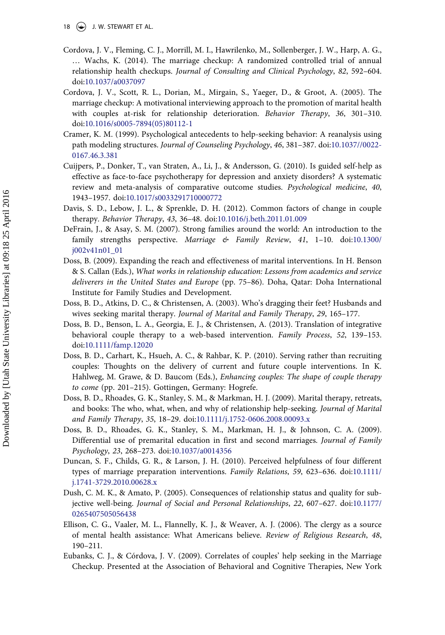- <span id="page-18-0"></span>18  $\leftrightarrow$  J. W. STEWART ET AL.
- Cordova, J. V., Fleming, C. J., Morrill, M. I., Hawrilenko, M., Sollenberger, J. W., Harp, A. G., … Wachs, K. (2014). The marriage checkup: A randomized controlled trial of annual relationship health checkups. *Journal of Consulting and Clinical Psychology*, *82*, 592–604. doi[:10.1037/a0037097](http://dx.doi.org/10.1037/a0037097)
- Cordova, J. V., Scott, R. L., Dorian, M., Mirgain, S., Yaeger, D., & Groot, A. (2005). The marriage checkup: A motivational interviewing approach to the promotion of marital health with couples at-risk for relationship deterioration. *Behavior Therapy*, *36*, 301–310. doi[:10.1016/s0005-7894\(05\)80112-1](http://dx.doi.org/10.1016/s0005-7894(05)80112-1)
- Cramer, K. M. (1999). Psychological antecedents to help-seeking behavior: A reanalysis using path modeling structures. *Journal of Counseling Psychology*, *46*, 381–387. doi[:10.1037//0022-](http://dx.doi.org/10.1037//0022-0167.46.3.381) [0167.46.3.381](http://dx.doi.org/10.1037//0022-0167.46.3.381)
- Cuijpers, P., Donker, T., van Straten, A., Li, J., & Andersson, G. (2010). Is guided self-help as effective as face-to-face psychotherapy for depression and anxiety disorders? A systematic review and meta-analysis of comparative outcome studies. *Psychological medicine*, *40*, 1943–1957. doi:[10.1017/s0033291710000772](http://dx.doi.org/10.1017/s0033291710000772)
- Davis, S. D., Lebow, J. L., & Sprenkle, D. H. (2012). Common factors of change in couple therapy. *Behavior Therapy*, *43*, 36–48. doi[:10.1016/j.beth.2011.01.009](http://dx.doi.org/10.1016/j.beth.2011.01.009)
- DeFrain, J., & Asay, S. M. (2007). Strong families around the world: An introduction to the family strengths perspective. *Marriage & Family Review*, *41*, 1–10. doi:[10.1300/](http://dx.doi.org/10.1300/j002v41n01_01) [j002v41n01\\_01](http://dx.doi.org/10.1300/j002v41n01_01)
- Doss, B. (2009). Expanding the reach and effectiveness of marital interventions. In H. Benson & S. Callan (Eds.), *What works in relationship education: Lessons from academics and service deliverers in the United States and Europe* (pp. 75–86). Doha, Qatar: Doha International Institute for Family Studies and Development.
- Doss, B. D., Atkins, D. C., & Christensen, A. (2003). Who's dragging their feet? Husbands and wives seeking marital therapy. *Journal of Marital and Family Therapy*, *29*, 165–177.
- Doss, B. D., Benson, L. A., Georgia, E. J., & Christensen, A. (2013). Translation of integrative behavioral couple therapy to a web-based intervention. *Family Process*, *52*, 139–153. doi[:10.1111/famp.12020](http://dx.doi.org/10.1111/famp.12020)
- Doss, B. D., Carhart, K., Hsueh, A. C., & Rahbar, K. P. (2010). Serving rather than recruiting couples: Thoughts on the delivery of current and future couple interventions. In K. Hahlweg, M. Grawe, & D. Baucom (Eds.), *Enhancing couples: The shape of couple therapy to come* (pp. 201–215). Gottingen, Germany: Hogrefe.
- Doss, B. D., Rhoades, G. K., Stanley, S. M., & Markman, H. J. (2009). Marital therapy, retreats, and books: The who, what, when, and why of relationship help-seeking. *Journal of Marital and Family Therapy*, *35*, 18–29. doi[:10.1111/j.1752-0606.2008.00093.x](http://dx.doi.org/10.1111/j.1752-0606.2008.00093.x)
- Doss, B. D., Rhoades, G. K., Stanley, S. M., Markman, H. J., & Johnson, C. A. (2009). Differential use of premarital education in first and second marriages. *Journal of Family Psychology*, *23*, 268–273. doi:[10.1037/a0014356](http://dx.doi.org/10.1037/a0014356)
- Duncan, S. F., Childs, G. R., & Larson, J. H. (2010). Perceived helpfulness of four different types of marriage preparation interventions. *Family Relations*, *59*, 623–636. doi:[10.1111/](http://dx.doi.org/10.1111/j.1741-3729.2010.00628.x) [j.1741-3729.2010.00628.x](http://dx.doi.org/10.1111/j.1741-3729.2010.00628.x)
- Dush, C. M. K., & Amato, P. (2005). Consequences of relationship status and quality for subjective well-being. *Journal of Social and Personal Relationships*, *22*, 607–627. doi:[10.1177/](http://dx.doi.org/10.1177/0265407505056438) [0265407505056438](http://dx.doi.org/10.1177/0265407505056438)
- Ellison, C. G., Vaaler, M. L., Flannelly, K. J., & Weaver, A. J. (2006). The clergy as a source of mental health assistance: What Americans believe. *Review of Religious Research*, *48*, 190–211.
- Eubanks, C. J., & Córdova, J. V. (2009). Correlates of couples' help seeking in the Marriage Checkup. Presented at the Association of Behavioral and Cognitive Therapies, New York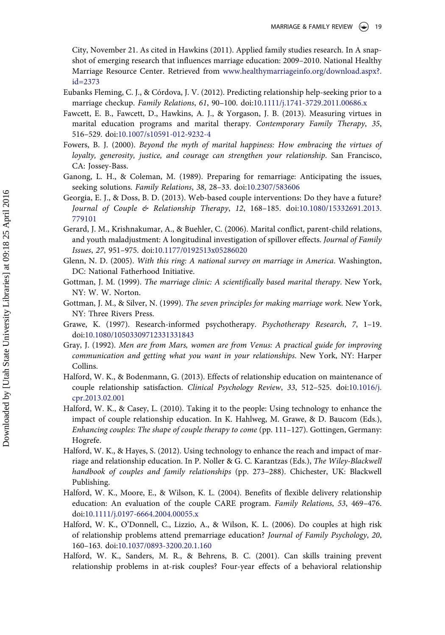<span id="page-19-0"></span>City, November 21. As cited in Hawkins (2011). Applied family studies research. In A snapshot of emerging research that influences marriage education: 2009–2010. National Healthy Marriage Resource Center. Retrieved from [www.healthymarriageinfo.org/download.aspx?.](http://www.healthymarriageinfo.org/download.aspx?.id=2373) [id=2373](http://www.healthymarriageinfo.org/download.aspx?.id=2373) 

- Eubanks Fleming, C. J., & Córdova, J. V. (2012). Predicting relationship help-seeking prior to a marriage checkup. *Family Relations*, *61*, 90–100. doi[:10.1111/j.1741-3729.2011.00686.x](http://dx.doi.org/10.1111/j.1741-3729.2011.00686.x)
- Fawcett, E. B., Fawcett, D., Hawkins, A. J., & Yorgason, J. B. (2013). Measuring virtues in marital education programs and marital therapy. *Contemporary Family Therapy*, *35*, 516–529. doi:[10.1007/s10591-012-9232-4](http://dx.doi.org/10.1007/s10591-012-9232-4)
- Fowers, B. J. (2000). *Beyond the myth of marital happiness: How embracing the virtues of loyalty, generosity, justice, and courage can strengthen your relationship*. San Francisco, CA: Jossey-Bass.
- Ganong, L. H., & Coleman, M. (1989). Preparing for remarriage: Anticipating the issues, seeking solutions. *Family Relations*, *38*, 28–33. doi:[10.2307/583606](http://dx.doi.org/10.2307/583606)
- Georgia, E. J., & Doss, B. D. (2013). Web-based couple interventions: Do they have a future? *Journal of Couple & Relationship Therapy*, *12*, 168–185. doi:[10.1080/15332691.2013.](http://dx.doi.org/10.1080/15332691.2013.779101) [779101](http://dx.doi.org/10.1080/15332691.2013.779101)
- Gerard, J. M., Krishnakumar, A., & Buehler, C. (2006). Marital conflict, parent-child relations, and youth maladjustment: A longitudinal investigation of spillover effects. *Journal of Family Issues*, *27*, 951–975. doi:[10.1177/0192513x05286020](http://dx.doi.org/10.1177/0192513x05286020)
- Glenn, N. D. (2005). *With this ring: A national survey on marriage in America*. Washington, DC: National Fatherhood Initiative.
- Gottman, J. M. (1999). *The marriage clinic: A scientifically based marital therapy*. New York, NY: W. W. Norton.
- Gottman, J. M., & Silver, N. (1999). *The seven principles for making marriage work*. New York, NY: Three Rivers Press.
- Grawe, K. (1997). Research-informed psychotherapy. *Psychotherapy Research*, *7*, 1–19. doi[:10.1080/10503309712331331843](http://dx.doi.org/10.1080/10503309712331331843)
- Gray, J. (1992). *Men are from Mars, women are from Venus: A practical guide for improving communication and getting what you want in your relationships*. New York, NY: Harper Collins.
- Halford, W. K., & Bodenmann, G. (2013). Effects of relationship education on maintenance of couple relationship satisfaction. *Clinical Psychology Review*, *33*, 512–525. doi[:10.1016/j.](http://dx.doi.org/10.1016/j.cpr.2013.02.001) [cpr.2013.02.001](http://dx.doi.org/10.1016/j.cpr.2013.02.001)
- Halford, W. K., & Casey, L. (2010). Taking it to the people: Using technology to enhance the impact of couple relationship education. In K. Hahlweg, M. Grawe, & D. Baucom (Eds.), *Enhancing couples: The shape of couple therapy to come* (pp. 111–127). Gottingen, Germany: Hogrefe.
- Halford, W. K., & Hayes, S. (2012). Using technology to enhance the reach and impact of marriage and relationship education. In P. Noller & G. C. Karantzas (Eds.), *The Wiley-Blackwell handbook of couples and family relationships* (pp. 273–288). Chichester, UK: Blackwell Publishing.
- Halford, W. K., Moore, E., & Wilson, K. L. (2004). Benefits of flexible delivery relationship education: An evaluation of the couple CARE program. *Family Relations*, *53*, 469–476. doi[:10.1111/j.0197-6664.2004.00055.x](http://dx.doi.org/10.1111/j.0197-6664.2004.00055.x)
- Halford, W. K., O'Donnell, C., Lizzio, A., & Wilson, K. L. (2006). Do couples at high risk of relationship problems attend premarriage education? *Journal of Family Psychology*, *20*, 160–163. doi:[10.1037/0893-3200.20.1.160](http://dx.doi.org/10.1037/0893-3200.20.1.160)
- Halford, W. K., Sanders, M. R., & Behrens, B. C. (2001). Can skills training prevent relationship problems in at-risk couples? Four-year effects of a behavioral relationship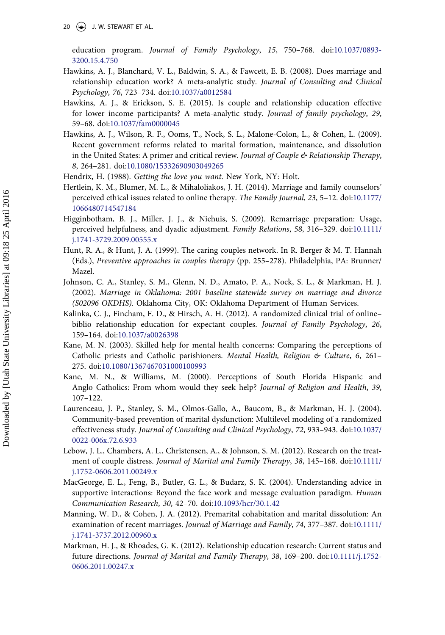<span id="page-20-0"></span>20  $\left(\rightarrow\right)$  J. W. STEWART ET AL.

education program. *Journal of Family Psychology*, *15*, 750–768. doi[:10.1037/0893-](http://dx.doi.org/10.1037/0893-3200.15.4.750) [3200.15.4.750](http://dx.doi.org/10.1037/0893-3200.15.4.750) 

- Hawkins, A. J., Blanchard, V. L., Baldwin, S. A., & Fawcett, E. B. (2008). Does marriage and relationship education work? A meta-analytic study. *Journal of Consulting and Clinical Psychology*, *76*, 723–734. doi:[10.1037/a0012584](http://dx.doi.org/10.1037/a0012584)
- Hawkins, A. J., & Erickson, S. E. (2015). Is couple and relationship education effective for lower income participants? A meta-analytic study. *Journal of family psychology*, *29*, 59–68. doi:[10.1037/fam0000045](http://dx.doi.org/10.1037/fam0000045)
- Hawkins, A. J., Wilson, R. F., Ooms, T., Nock, S. L., Malone-Colon, L., & Cohen, L. (2009). Recent government reforms related to marital formation, maintenance, and dissolution in the United States: A primer and critical review. *Journal of Couple & Relationship Therapy*, *8*, 264–281. doi:[10.1080/15332690903049265](http://dx.doi.org/10.1080/15332690903049265)
- Hendrix, H. (1988). *Getting the love you want*. New York, NY: Holt.
- Hertlein, K. M., Blumer, M. L., & Mihaloliakos, J. H. (2014). Marriage and family counselors' perceived ethical issues related to online therapy. *The Family Journal*, *23*, 5–12. doi:[10.1177/](http://dx.doi.org/10.1177/1066480714547184) [1066480714547184](http://dx.doi.org/10.1177/1066480714547184)
- Higginbotham, B. J., Miller, J. J., & Niehuis, S. (2009). Remarriage preparation: Usage, perceived helpfulness, and dyadic adjustment. *Family Relations*, *58*, 316–329. doi:[10.1111/](http://dx.doi.org/10.1111/j.1741-3729.2009.00555.x) [j.1741-3729.2009.00555.x](http://dx.doi.org/10.1111/j.1741-3729.2009.00555.x)
- Hunt, R. A., & Hunt, J. A. (1999). The caring couples network. In R. Berger & M. T. Hannah (Eds.), *Preventive approaches in couples therapy* (pp. 255–278). Philadelphia, PA: Brunner/ Mazel.
- Johnson, C. A., Stanley, S. M., Glenn, N. D., Amato, P. A., Nock, S. L., & Markman, H. J. (2002). *Marriage in Oklahoma: 2001 baseline statewide survey on marriage and divorce (S02096 OKDHS)*. Oklahoma City, OK: Oklahoma Department of Human Services.
- Kalinka, C. J., Fincham, F. D., & Hirsch, A. H. (2012). A randomized clinical trial of online– biblio relationship education for expectant couples. *Journal of Family Psychology*, *26*, 159–164. doi:[10.1037/a0026398](http://dx.doi.org/10.1037/a0026398)
- Kane, M. N. (2003). Skilled help for mental health concerns: Comparing the perceptions of Catholic priests and Catholic parishioners. *Mental Health, Religion & Culture*, *6*, 261– 275. doi[:10.1080/1367467031000100993](http://dx.doi.org/10.1080/1367467031000100993)
- Kane, M. N., & Williams, M. (2000). Perceptions of South Florida Hispanic and Anglo Catholics: From whom would they seek help? *Journal of Religion and Health*, *39*, 107–122.
- Laurenceau, J. P., Stanley, S. M., Olmos-Gallo, A., Baucom, B., & Markman, H. J. (2004). Community-based prevention of marital dysfunction: Multilevel modeling of a randomized effectiveness study. *Journal of Consulting and Clinical Psychology*, *72*, 933–943. doi:[10.1037/](http://dx.doi.org/10.1037/0022-006x.72.6.933) [0022-006x.72.6.933](http://dx.doi.org/10.1037/0022-006x.72.6.933)
- Lebow, J. L., Chambers, A. L., Christensen, A., & Johnson, S. M. (2012). Research on the treatment of couple distress. *Journal of Marital and Family Therapy*, *38*, 145–168. doi:[10.1111/](http://dx.doi.org/10.1111/j.1752-0606.2011.00249.x) [j.1752-0606.2011.00249.x](http://dx.doi.org/10.1111/j.1752-0606.2011.00249.x)
- MacGeorge, E. L., Feng, B., Butler, G. L., & Budarz, S. K. (2004). Understanding advice in supportive interactions: Beyond the face work and message evaluation paradigm. *Human Communication Research*, *30*, 42–70. doi:[10.1093/hcr/30.1.42](http://dx.doi.org/10.1093/hcr/30.1.42)
- Manning, W. D., & Cohen, J. A. (2012). Premarital cohabitation and marital dissolution: An examination of recent marriages. *Journal of Marriage and Family*, *74*, 377–387. doi:[10.1111/](http://dx.doi.org/10.1111/j.1741-3737.2012.00960.x) [j.1741-3737.2012.00960.x](http://dx.doi.org/10.1111/j.1741-3737.2012.00960.x)
- Markman, H. J., & Rhoades, G. K. (2012). Relationship education research: Current status and future directions. *Journal of Marital and Family Therapy*, *38*, 169–200. doi:[10.1111/j.1752-](http://dx.doi.org/10.1111/j.1752-0606.2011.00247.x) [0606.2011.00247.x](http://dx.doi.org/10.1111/j.1752-0606.2011.00247.x)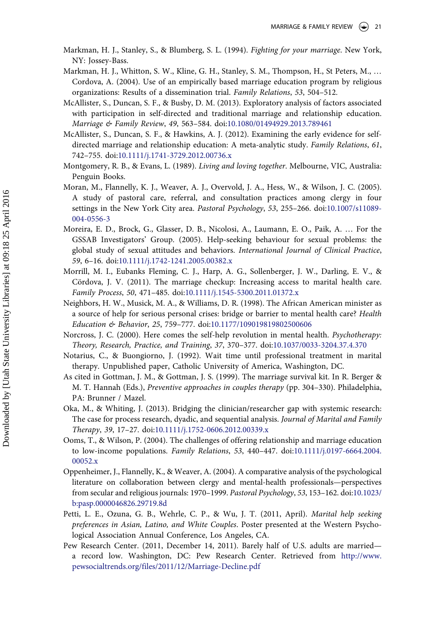- <span id="page-21-0"></span>Markman, H. J., Stanley, S., & Blumberg, S. L. (1994). *Fighting for your marriage*. New York, NY: Jossey-Bass.
- Markman, H. J., Whitton, S. W., Kline, G. H., Stanley, S. M., Thompson, H., St Peters, M., … Cordova, A. (2004). Use of an empirically based marriage education program by religious organizations: Results of a dissemination trial. *Family Relations*, *53*, 504–512.
- McAllister, S., Duncan, S. F., & Busby, D. M. (2013). Exploratory analysis of factors associated with participation in self-directed and traditional marriage and relationship education. *Marriage & Family Review*, *49*, 563–584. doi[:10.1080/01494929.2013.789461](http://dx.doi.org/10.1080/01494929.2013.789461)
- McAllister, S., Duncan, S. F., & Hawkins, A. J. (2012). Examining the early evidence for selfdirected marriage and relationship education: A meta-analytic study. *Family Relations*, *61*, 742–755. doi:[10.1111/j.1741-3729.2012.00736.x](http://dx.doi.org/10.1111/j.1741-3729.2012.00736.x)
- Montgomery, R. B., & Evans, L. (1989). *Living and loving together*. Melbourne, VIC, Australia: Penguin Books.
- Moran, M., Flannelly, K. J., Weaver, A. J., Overvold, J. A., Hess, W., & Wilson, J. C. (2005). A study of pastoral care, referral, and consultation practices among clergy in four settings in the New York City area. *Pastoral Psychology*, *53*, 255–266. doi[:10.1007/s11089-](http://dx.doi.org/10.1007/s11089-004-0556-3) [004-0556-3](http://dx.doi.org/10.1007/s11089-004-0556-3)
- Moreira, E. D., Brock, G., Glasser, D. B., Nicolosi, A., Laumann, E. O., Paik, A. … For the GSSAB Investigators' Group. (2005). Help-seeking behaviour for sexual problems: the global study of sexual attitudes and behaviors. *International Journal of Clinical Practice*, *59*, 6–16. doi[:10.1111/j.1742-1241.2005.00382.x](http://dx.doi.org/10.1111/j.1742-1241.2005.00382.x)
- Morrill, M. I., Eubanks Fleming, C. J., Harp, A. G., Sollenberger, J. W., Darling, E. V., & Cördova, J. V. (2011). The marriage checkup: Increasing access to marital health care. *Family Process*, *50*, 471–485. doi:[10.1111/j.1545-5300.2011.01372.x](http://dx.doi.org/10.1111/j.1545-5300.2011.01372.x)
- Neighbors, H. W., Musick, M. A., & Williams, D. R. (1998). The African American minister as a source of help for serious personal crises: bridge or barrier to mental health care? *Health Education & Behavior*, *25*, 759–777. doi:[10.1177/109019819802500606](http://dx.doi.org/10.1177/109019819802500606)
- Norcross, J. C. (2000). Here comes the self-help revolution in mental health. *Psychotherapy: Theory, Research, Practice, and Training*, *37*, 370–377. doi[:10.1037/0033-3204.37.4.370](http://dx.doi.org/10.1037/0033-3204.37.4.370)
- Notarius, C., & Buongiorno, J. (1992). Wait time until professional treatment in marital therapy. Unpublished paper, Catholic University of America, Washington, DC.
- As cited in Gottman, J. M., & Gottman, J. S. (1999). The marriage survival kit. In R. Berger & M. T. Hannah (Eds.), *Preventive approaches in couples therapy* (pp. 304–330). Philadelphia, PA: Brunner / Mazel.
- Oka, M., & Whiting, J. (2013). Bridging the clinician/researcher gap with systemic research: The case for process research, dyadic, and sequential analysis. *Journal of Marital and Family Therapy*, *39*, 17–27. doi[:10.1111/j.1752-0606.2012.00339.x](http://dx.doi.org/10.1111/j.1752-0606.2012.00339.x)
- Ooms, T., & Wilson, P. (2004). The challenges of offering relationship and marriage education to low-income populations. *Family Relations*, *53*, 440–447. doi:[10.1111/j.0197-6664.2004.](http://dx.doi.org/10.1111/j.0197-6664.2004.00052.x) [00052.x](http://dx.doi.org/10.1111/j.0197-6664.2004.00052.x)
- Oppenheimer, J., Flannelly, K., & Weaver, A. (2004). A comparative analysis of the psychological literature on collaboration between clergy and mental-health professionals—perspectives from secular and religious journals: 1970–1999. *Pastoral Psychology*, *53*, 153–162. doi[:10.1023/](http://dx.doi.org/10.1023/b:pasp.0000046826.29719.8d) [b:pasp.0000046826.29719.8d](http://dx.doi.org/10.1023/b:pasp.0000046826.29719.8d)
- Petti, L. E., Ozuna, G. B., Wehrle, C. P., & Wu, J. T. (2011, April). *Marital help seeking preferences in Asian, Latino, and White Couples*. Poster presented at the Western Psychological Association Annual Conference, Los Angeles, CA.
- Pew Research Center. (2011, December 14, 2011). Barely half of U.S. adults are married a record low. Washington, DC: Pew Research Center. Retrieved from [http://www.](http://www.pewsocialtrends.org/files/2011/12/Marriage-Decline.pdf) [pewsocialtrends.org/files/2011/12/Marriage-Decline.pdf](http://www.pewsocialtrends.org/files/2011/12/Marriage-Decline.pdf)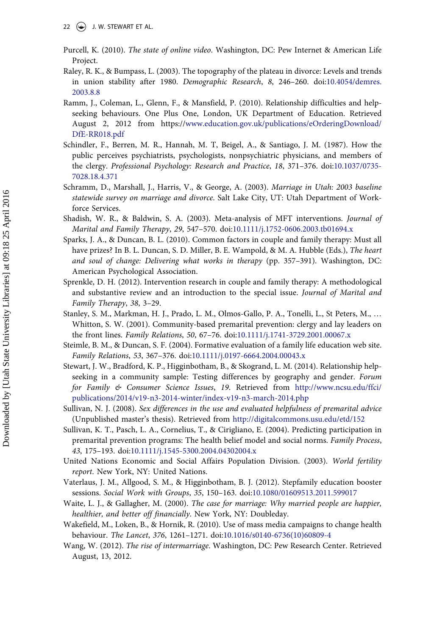- <span id="page-22-0"></span>Purcell, K. (2010). *The state of online video*. Washington, DC: Pew Internet & American Life Project.
- Raley, R. K., & Bumpass, L. (2003). The topography of the plateau in divorce: Levels and trends in union stability after 1980. *Demographic Research*, *8*, 246–260. doi:[10.4054/demres.](http://dx.doi.org/10.4054/demres.2003.8.8) [2003.8.8](http://dx.doi.org/10.4054/demres.2003.8.8)
- Ramm, J., Coleman, L., Glenn, F., & Mansfield, P. (2010). Relationship difficulties and helpseeking behaviours. One Plus One, London, UK Department of Education. Retrieved August 2, 2012 from https:/[/www.education.gov.uk/publications/eOrderingDownload/](http://www.education.gov.uk/publications/eOrderingDownload/DfE-RR018.pdf) [DfE-RR018.pdf](http://www.education.gov.uk/publications/eOrderingDownload/DfE-RR018.pdf)
- Schindler, F., Berren, M. R., Hannah, M. T, Beigel, A., & Santiago, J. M. (1987). How the public perceives psychiatrists, psychologists, nonpsychiatric physicians, and members of the clergy. *Professional Psychology: Research and Practice*, *18*, 371–376. doi[:10.1037/0735-](http://dx.doi.org/10.1037/0735-7028.18.4.371) [7028.18.4.371](http://dx.doi.org/10.1037/0735-7028.18.4.371)
- Schramm, D., Marshall, J., Harris, V., & George, A. (2003). *Marriage in Utah: 2003 baseline statewide survey on marriage and divorce*. Salt Lake City, UT: Utah Department of Workforce Services.
- Shadish, W. R., & Baldwin, S. A. (2003). Meta-analysis of MFT interventions. *Journal of Marital and Family Therapy*, *29*, 547–570. doi:[10.1111/j.1752-0606.2003.tb01694.x](http://dx.doi.org/10.1111/j.1752-0606.2003.tb01694.x)
- Sparks, J. A., & Duncan, B. L. (2010). Common factors in couple and family therapy: Must all have prizes? In B. L. Duncan, S. D. Miller, B. E. Wampold, & M. A. Hubble (Eds.), *The heart and soul of change: Delivering what works in therapy* (pp. 357–391). Washington, DC: American Psychological Association.
- Sprenkle, D. H. (2012). Intervention research in couple and family therapy: A methodological and substantive review and an introduction to the special issue. *Journal of Marital and Family Therapy*, *38*, 3–29.
- Stanley, S. M., Markman, H. J., Prado, L. M., Olmos-Gallo, P. A., Tonelli, L., St Peters, M., … Whitton, S. W. (2001). Community-based premarital prevention: clergy and lay leaders on the front lines. *Family Relations*, *50*, 67–76. doi:[10.1111/j.1741-3729.2001.00067.x](http://dx.doi.org/10.1111/j.1741-3729.2001.00067.x)
- Steimle, B. M., & Duncan, S. F. (2004). Formative evaluation of a family life education web site. *Family Relations*, *53*, 367–376. doi[:10.1111/j.0197-6664.2004.00043.x](http://dx.doi.org/10.1111/j.0197-6664.2004.00043.x)
- Stewart, J. W., Bradford, K. P., Higginbotham, B., & Skogrand, L. M. (2014). Relationship helpseeking in a community sample: Testing differences by geography and gender. *Forum for Family & Consumer Science Issues*, *19*. Retrieved from [http://www.ncsu.edu/ffci/](http://www.ncsu.edu/ffci/publications/2014/v19-n3-2014-winter/index-v19-n3-march-2014.php) [publications/2014/v19-n3-2014-winter/index-v19-n3-march-2014.php](http://www.ncsu.edu/ffci/publications/2014/v19-n3-2014-winter/index-v19-n3-march-2014.php)
- Sullivan, N. J. (2008). *Sex differences in the use and evaluated helpfulness of premarital advice*  (Unpublished master's thesis). Retrieved from <http://digitalcommons.usu.edu/etd/152>
- Sullivan, K. T., Pasch, L. A., Cornelius, T., & Cirigliano, E. (2004). Predicting participation in premarital prevention programs: The health belief model and social norms. *Family Process*, *43*, 175–193. doi[:10.1111/j.1545-5300.2004.04302004.x](http://dx.doi.org/10.1111/j.1545-5300.2004.04302004.x)
- United Nations Economic and Social Affairs Population Division. (2003). *World fertility report*. New York, NY: United Nations.
- Vaterlaus, J. M., Allgood, S. M., & Higginbotham, B. J. (2012). Stepfamily education booster sessions. *Social Work with Groups*, *35*, 150–163. doi:[10.1080/01609513.2011.599017](http://dx.doi.org/10.1080/01609513.2011.599017)
- Waite, L. J., & Gallagher, M. (2000). *The case for marriage: Why married people are happier, healthier, and better off financially*. New York, NY: Doubleday.
- Wakefield, M., Loken, B., & Hornik, R. (2010). Use of mass media campaigns to change health behaviour. *The Lancet*, *376*, 1261–1271. doi[:10.1016/s0140-6736\(10\)60809-4](http://dx.doi.org/10.1016/s0140-6736(10)60809-4)
- Wang, W. (2012). *The rise of intermarriage*. Washington, DC: Pew Research Center. Retrieved August, 13, 2012.